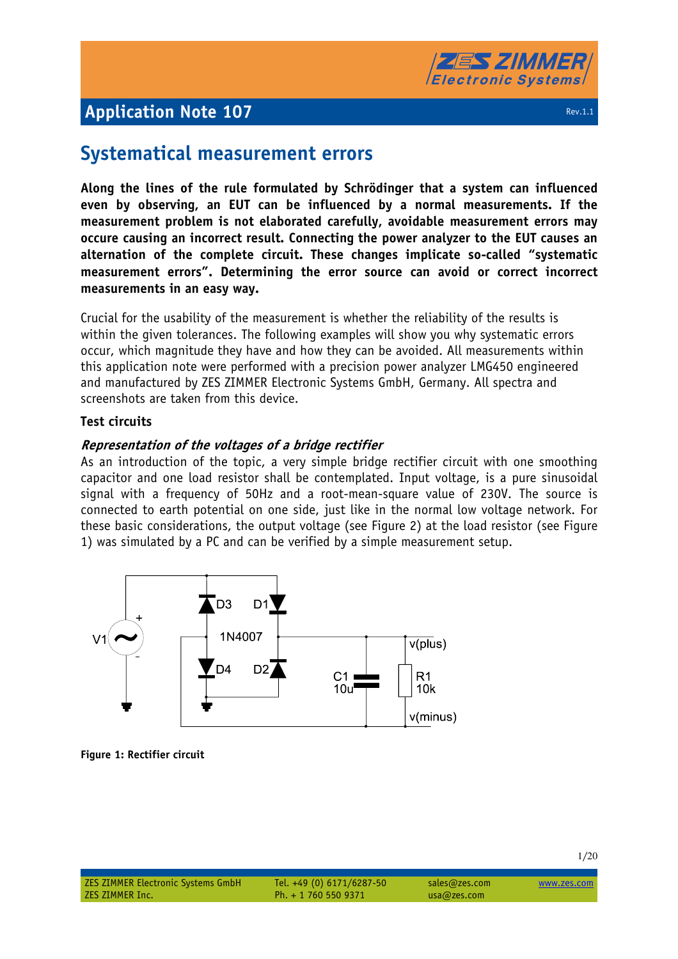

## **Systematical measurement errors**

**Along the lines of the rule formulated by Schrödinger that a system can influenced even by observing, an EUT can be influenced by a normal measurements. If the measurement problem is not elaborated carefully, avoidable measurement errors may occure causing an incorrect result. Connecting the power analyzer to the EUT causes an alternation of the complete circuit. These changes implicate so-called "systematic measurement errors". Determining the error source can avoid or correct incorrect measurements in an easy way.** 

Crucial for the usability of the measurement is whether the reliability of the results is within the given tolerances. The following examples will show you why systematic errors occur, which magnitude they have and how they can be avoided. All measurements within this application note were performed with a precision power analyzer LMG450 engineered and manufactured by ZES ZIMMER Electronic Systems GmbH, Germany. All spectra and screenshots are taken from this device.

### **Test circuits**

### **Representation of the voltages of a bridge rectifier**

As an introduction of the topic, a very simple bridge rectifier circuit with one smoothing capacitor and one load resistor shall be contemplated. Input voltage, is a pure sinusoidal signal with a frequency of 50Hz and a root-mean-square value of 230V. The source is connected to earth potential on one side, just like in the normal low voltage network. For these basic considerations, the output voltage (see Figure 2) at the load resistor (see Figure 1) was simulated by a PC and can be verified by a simple measurement setup.



**Figure 1: Rectifier circuit**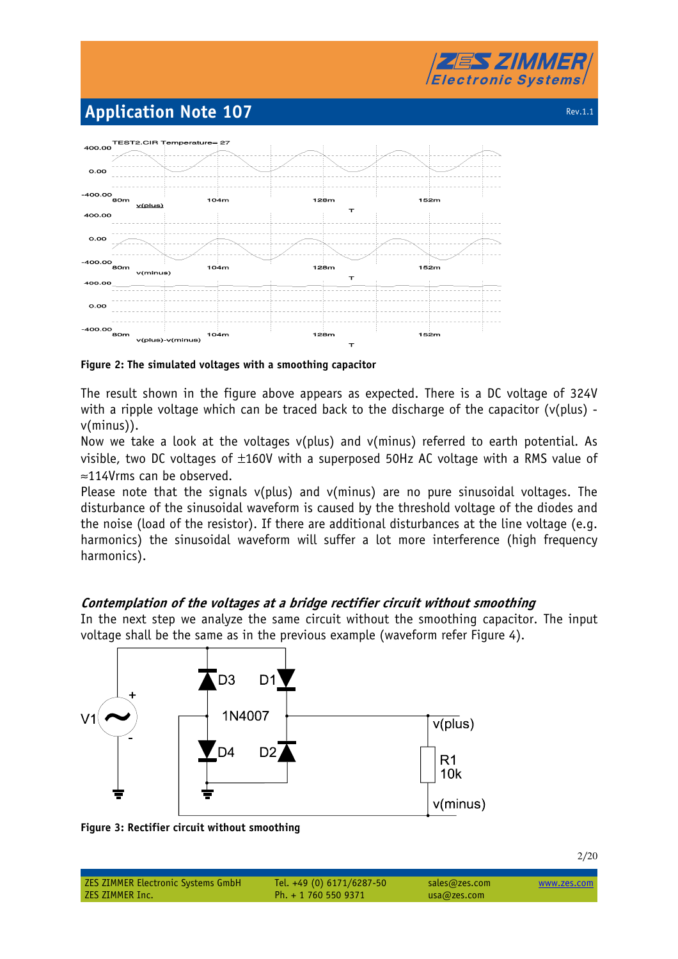



**Figure 2: The simulated voltages with a smoothing capacitor** 

The result shown in the figure above appears as expected. There is a DC voltage of 324V with a ripple voltage which can be traced back to the discharge of the capacitor ( $v$ (plus) v(minus)).

Now we take a look at the voltages v(plus) and v(minus) referred to earth potential. As visible, two DC voltages of  $\pm 160V$  with a superposed 50Hz AC voltage with a RMS value of ≈114Vrms can be observed.

Please note that the signals v(plus) and v(minus) are no pure sinusoidal voltages. The disturbance of the sinusoidal waveform is caused by the threshold voltage of the diodes and the noise (load of the resistor). If there are additional disturbances at the line voltage (e.g. harmonics) the sinusoidal waveform will suffer a lot more interference (high frequency harmonics).

## **Contemplation of the voltages at a bridge rectifier circuit without smoothing**

In the next step we analyze the same circuit without the smoothing capacitor. The input voltage shall be the same as in the previous example (waveform refer Figure 4).



**Figure 3: Rectifier circuit without smoothing** 

| <b>ZES ZIMMER Electronic Systems GmbH</b> | Tel. +49 (0) $6171/6287-50$ | sales@zes.com | www.zes.com |
|-------------------------------------------|-----------------------------|---------------|-------------|
| ZES ZIMMER Inc.                           | Ph. + 1 760 550 9371        | usa@zes.com   |             |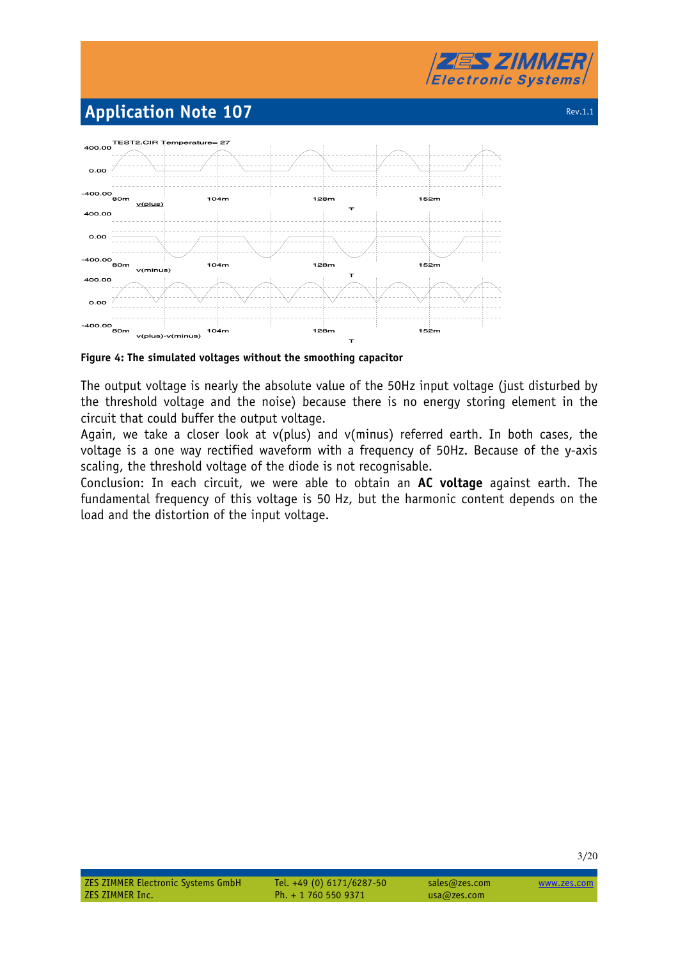



**Figure 4: The simulated voltages without the smoothing capacitor** 

The output voltage is nearly the absolute value of the 50Hz input voltage (just disturbed by the threshold voltage and the noise) because there is no energy storing element in the circuit that could buffer the output voltage.

Again, we take a closer look at v(plus) and v(minus) referred earth. In both cases, the voltage is a one way rectified waveform with a frequency of 50Hz. Because of the y-axis scaling, the threshold voltage of the diode is not recognisable.

Conclusion: In each circuit, we were able to obtain an **AC voltage** against earth. The fundamental frequency of this voltage is 50 Hz, but the harmonic content depends on the load and the distortion of the input voltage.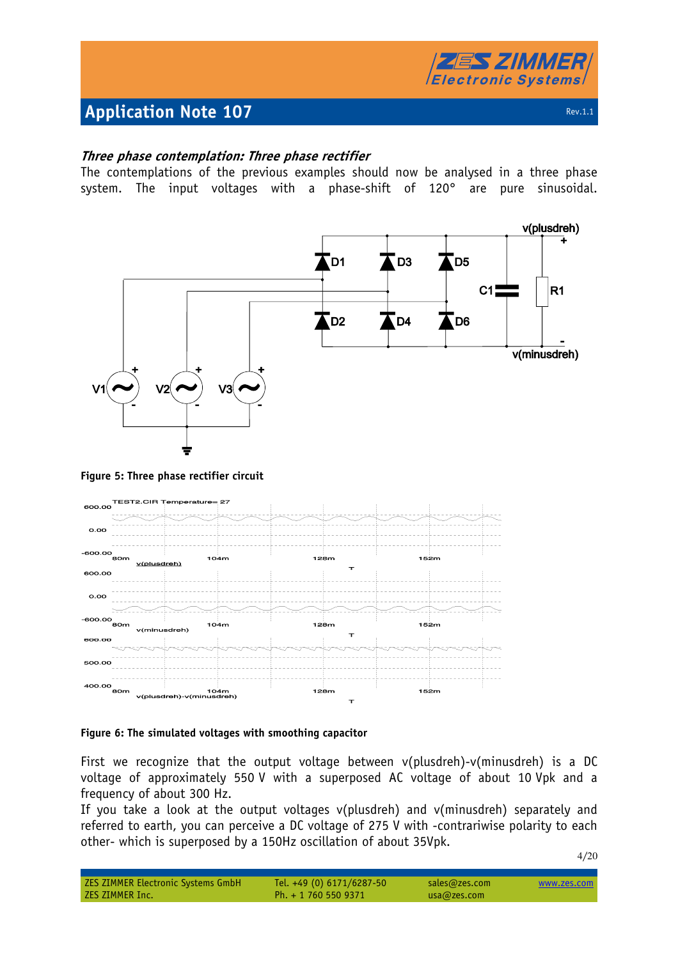

4/20

## **Three phase contemplation: Three phase rectifier**

The contemplations of the previous examples should now be analysed in a three phase system. The input voltages with a phase-shift of 120° are pure sinusoidal.



#### **Figure 5: Three phase rectifier circuit**



#### **Figure 6: The simulated voltages with smoothing capacitor**

First we recognize that the output voltage between v(plusdreh)-v(minusdreh) is a DC voltage of approximately 550 V with a superposed AC voltage of about 10 Vpk and a frequency of about 300 Hz.

If you take a look at the output voltages v(plusdreh) and v(minusdreh) separately and referred to earth, you can perceive a DC voltage of 275 V with -contrariwise polarity to each other- which is superposed by a 150Hz oscillation of about 35Vpk.

| <b>ZES ZIMMER Electronic Systems GmbH</b> | Tel. +49 (0) 6171/6287-50 | sales@zes.com | www.zes.com |
|-------------------------------------------|---------------------------|---------------|-------------|
| ZES ZIMMER Inc.                           | Ph. $+ 17605509371$       | usa@zes.com   |             |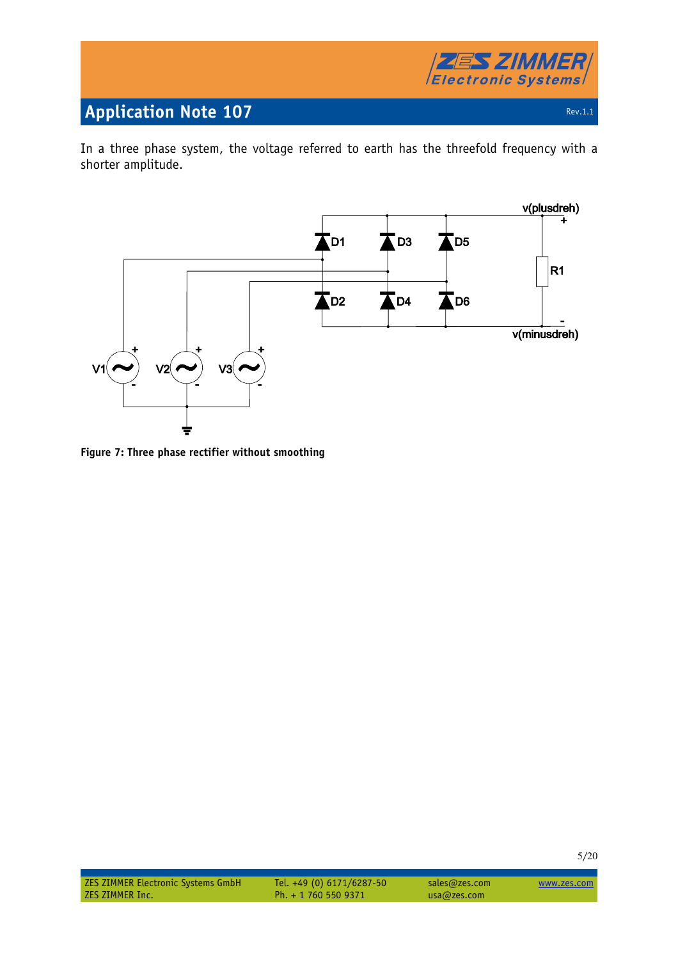

In a three phase system, the voltage referred to earth has the threefold frequency with a shorter amplitude.



**Figure 7: Three phase rectifier without smoothing**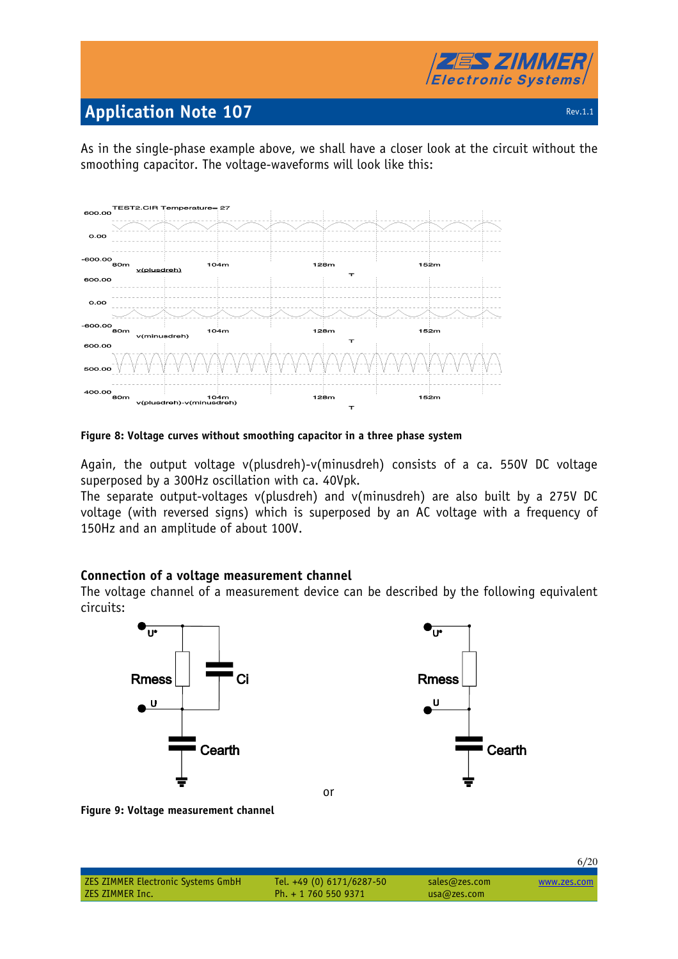

As in the single-phase example above, we shall have a closer look at the circuit without the smoothing capacitor. The voltage-waveforms will look like this:



#### **Figure 8: Voltage curves without smoothing capacitor in a three phase system**

Again, the output voltage v(plusdreh)-v(minusdreh) consists of a ca. 550V DC voltage superposed by a 300Hz oscillation with ca. 40Vpk.

The separate output-voltages v(plusdreh) and v(minusdreh) are also built by a 275V DC voltage (with reversed signs) which is superposed by an AC voltage with a frequency of 150Hz and an amplitude of about 100V.

### **Connection of a voltage measurement channel**

The voltage channel of a measurement device can be described by the following equivalent circuits:



**Figure 9: Voltage measurement channel** 

| <b>ZES ZIMMER Electronic Systems GmbH</b> | Tel. +49 (0) 6171/6287-50 | sales@zes.com | www.zes.com |
|-------------------------------------------|---------------------------|---------------|-------------|
| ZES ZIMMER Inc.                           | Ph. + 1 760 550 9371      | usa@zes.com   |             |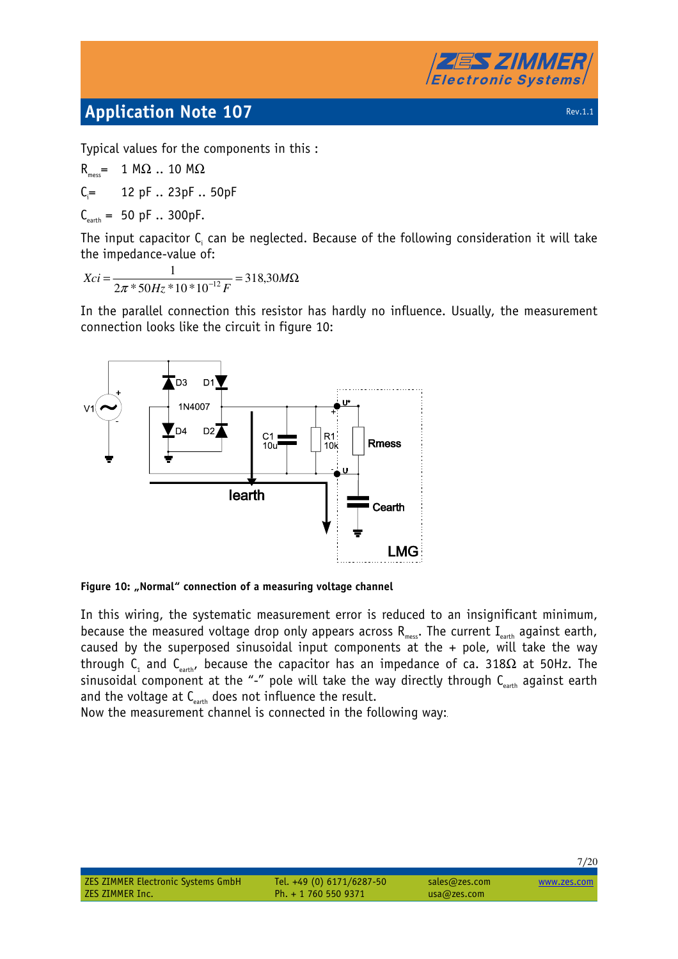

Typical values for the components in this :

 $R_{\text{max}} = 1 M\Omega$  .. 10 M $\Omega$  $C_i = 12$  pF  $\ldots$  23pF  $\ldots$  50pF  $C_{\text{earth}} = 50 \text{ pF} \dots 300 \text{ pF}.$ 

The input capacitor  ${\sf C}_i$  can be neglected. Because of the following consideration it will take the impedance-value of:

 $=\frac{1}{2\pi * 50H * 10 * 10^{-12} F} = 318,30M\Omega$  $Hz*10*10^{-12}F$  $Xci = \frac{1}{12} = 318,30$  $2\pi * 50Hz * 10 * 10$ 1  $\pi$  \* 50Hz \* 10 \* 10<sup>-12</sup>

In the parallel connection this resistor has hardly no influence. Usually, the measurement connection looks like the circuit in figure 10:



Figure 10: "Normal" connection of a measuring voltage channel

In this wiring, the systematic measurement error is reduced to an insignificant minimum, because the measured voltage drop only appears across  $R_{\textrm{\tiny mess}}$ . The current I $_{\textrm{\tiny earth}}$  against earth, caused by the superposed sinusoidal input components at the  $+$  pole, will take the way through C<sub>1</sub> and C<sub>earth</sub>, because the capacitor has an impedance of ca. 318 $\Omega$  at 50Hz. The sinusoidal component at the "-" pole will take the way directly through  $C_{\text{earth}}$  against earth and the voltage at  $C_{\text{earth}}$  does not influence the result.

Now the measurement channel is connected in the following way: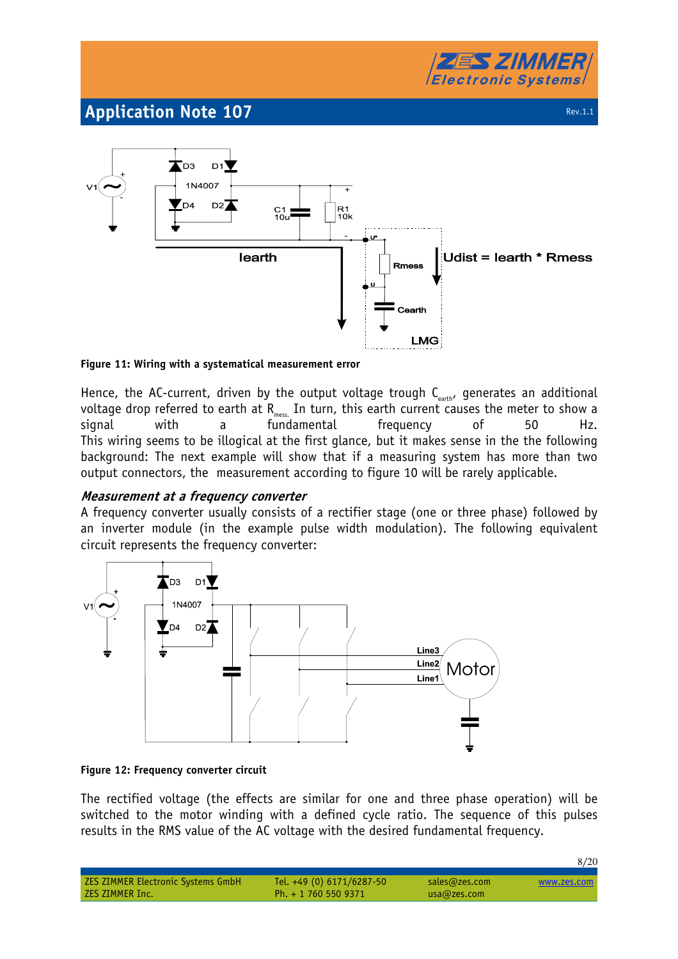



#### **Figure 11: Wiring with a systematical measurement error**

Hence, the AC-current, driven by the output voltage trough  $C_{\text{earth}}$ , generates an additional voltage drop referred to earth at  $\mathsf{R}_{\text{\tiny mess}}$  In turn, this earth current causes the meter to show a signal with a fundamental frequency of 50 This wiring seems to be illogical at the first glance, but it makes sense in the the following background: The next example will show that if a measuring system has more than two output connectors, the measurement according to figure 10 will be rarely applicable.

### **Measurement at a frequency converter**

A frequency converter usually consists of a rectifier stage (one or three phase) followed by an inverter module (in the example pulse width modulation). The following equivalent circuit represents the frequency converter:



#### **Figure 12: Frequency converter circuit**

The rectified voltage (the effects are similar for one and three phase operation) will be switched to the motor winding with a defined cycle ratio. The sequence of this pulses results in the RMS value of the AC voltage with the desired fundamental frequency.

|                                           |                           |               | 8/20        |
|-------------------------------------------|---------------------------|---------------|-------------|
| <b>ZES ZIMMER Electronic Systems GmbH</b> | Tel. +49 (0) 6171/6287-50 | sales@zes.com | www.zes.com |
| ZES ZIMMER Inc.                           | Ph. + 1 760 550 9371      | usa@zes.com   |             |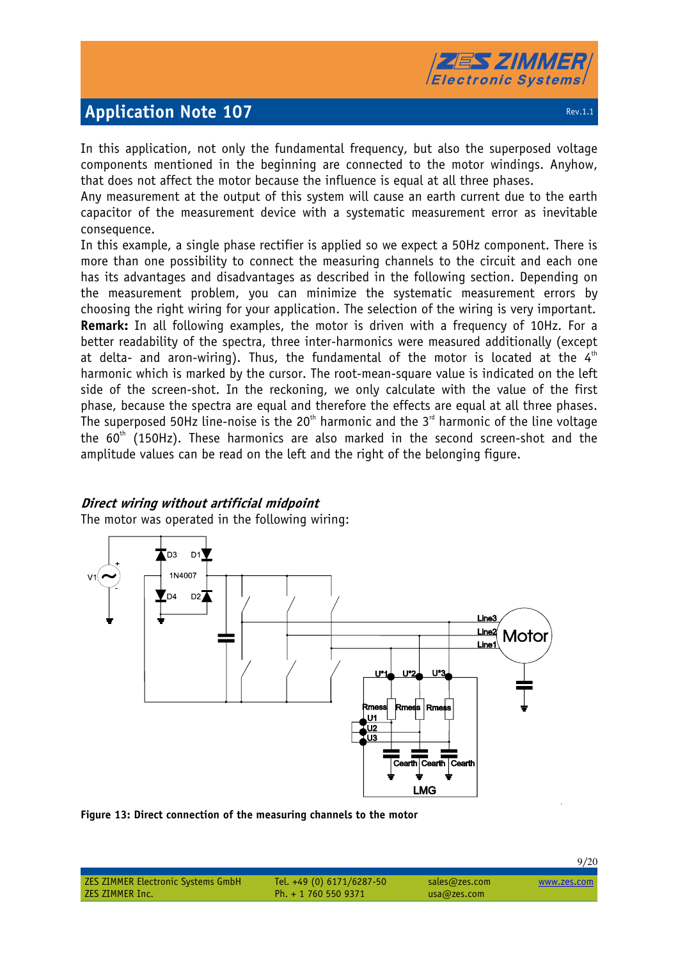

In this application, not only the fundamental frequency, but also the superposed voltage components mentioned in the beginning are connected to the motor windings. Anyhow, that does not affect the motor because the influence is equal at all three phases.

Any measurement at the output of this system will cause an earth current due to the earth capacitor of the measurement device with a systematic measurement error as inevitable consequence.

In this example, a single phase rectifier is applied so we expect a 50Hz component. There is more than one possibility to connect the measuring channels to the circuit and each one has its advantages and disadvantages as described in the following section. Depending on the measurement problem, you can minimize the systematic measurement errors by choosing the right wiring for your application. The selection of the wiring is very important. **Remark:** In all following examples, the motor is driven with a frequency of 10Hz. For a better readability of the spectra, three inter-harmonics were measured additionally (except at delta- and aron-wiring). Thus, the fundamental of the motor is located at the  $4<sup>th</sup>$ harmonic which is marked by the cursor. The root-mean-square value is indicated on the left side of the screen-shot. In the reckoning, we only calculate with the value of the first phase, because the spectra are equal and therefore the effects are equal at all three phases. The superposed 50Hz line-noise is the 20<sup>th</sup> harmonic and the 3<sup>rd</sup> harmonic of the line voltage the  $60<sup>th</sup>$  (150Hz). These harmonics are also marked in the second screen-shot and the amplitude values can be read on the left and the right of the belonging figure.

## **Direct wiring without artificial midpoint**

The motor was operated in the following wiring:



**Figure 13: Direct connection of the measuring channels to the motor** 

|                                           |                           |               | 2120        |
|-------------------------------------------|---------------------------|---------------|-------------|
|                                           |                           |               |             |
| <b>ZES ZIMMER Electronic Systems GmbH</b> | Tel. +49 (0) 6171/6287-50 | sales@zes.com | www.zes.com |
| ZES ZIMMER Inc.                           | Ph. $+ 17605509371$       | usa@zes.com   |             |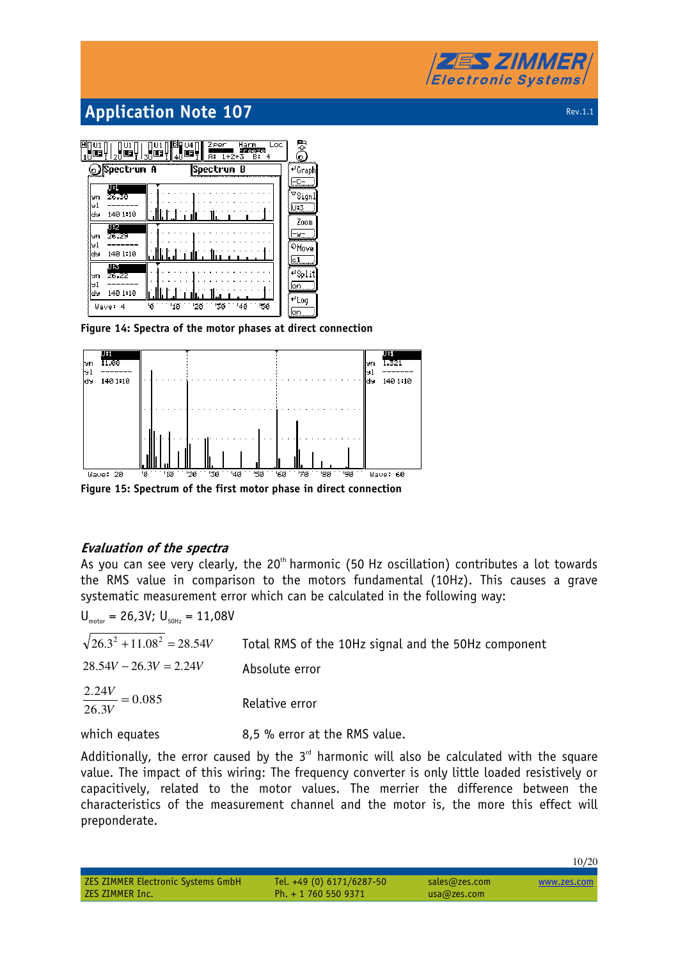# **ZES ZIMMER Electronic Systems**

# **Application Note 107 Rev.1.1 Application Note 107**

3 9001010010  $\prod_{n=1}^{101}$ Tu I . ¦≝  $1 + 2$ **Spectrum A** Spectrum B <del>⊌</del> Graph  $F^{-}$  $\overline{\texttt{^\nabla}}$ Signl  $\frac{1}{\sqrt{2}}$ U.3 140 1:10 Zoom Fy-9n |⊌1 ®Move 140 1:10 ld 9 lc1 蓝  $\sqrt{\frac{4}{5}}$ lyn |⊌1 lon laa 140 1:10 ,<br>⊮Log '30 Mave: 4 ١ø  $'10$  $120$ <sup>1</sup>4Ø **150** 

**Figure 14: Spectra of the motor phases at direct connection** 



**Figure 15: Spectrum of the first motor phase in direct connection** 

## **Evaluation of the spectra**

As you can see very clearly, the  $20<sup>th</sup>$  harmonic (50 Hz oscillation) contributes a lot towards the RMS value in comparison to the motors fundamental (10Hz). This causes a grave systematic measurement error which can be calculated in the following way:

| $U_{\text{motor}} = 26,3V; U_{\text{GOL}} = 11,08V$ |                                                     |
|-----------------------------------------------------|-----------------------------------------------------|
| $\sqrt{26.3^2 + 11.08^2}$ = 28.54V                  | Total RMS of the 10Hz signal and the 50Hz component |
| $28.54V - 26.3V = 2.24V$                            | Absolute error                                      |
| $\frac{2.24V}{26.3V} = 0.085$                       | Relative error                                      |
| which equates                                       | 8,5 % error at the RMS value.                       |

Additionally, the error caused by the  $3<sup>rd</sup>$  harmonic will also be calculated with the square value. The impact of this wiring: The frequency converter is only little loaded resistively or capacitively, related to the motor values. The merrier the difference between the characteristics of the measurement channel and the motor is, the more this effect will preponderate.

|                 | ZES ZIMMER Electronic Systems GmbH |  |
|-----------------|------------------------------------|--|
| ZES ZIMMER Inc. |                                    |  |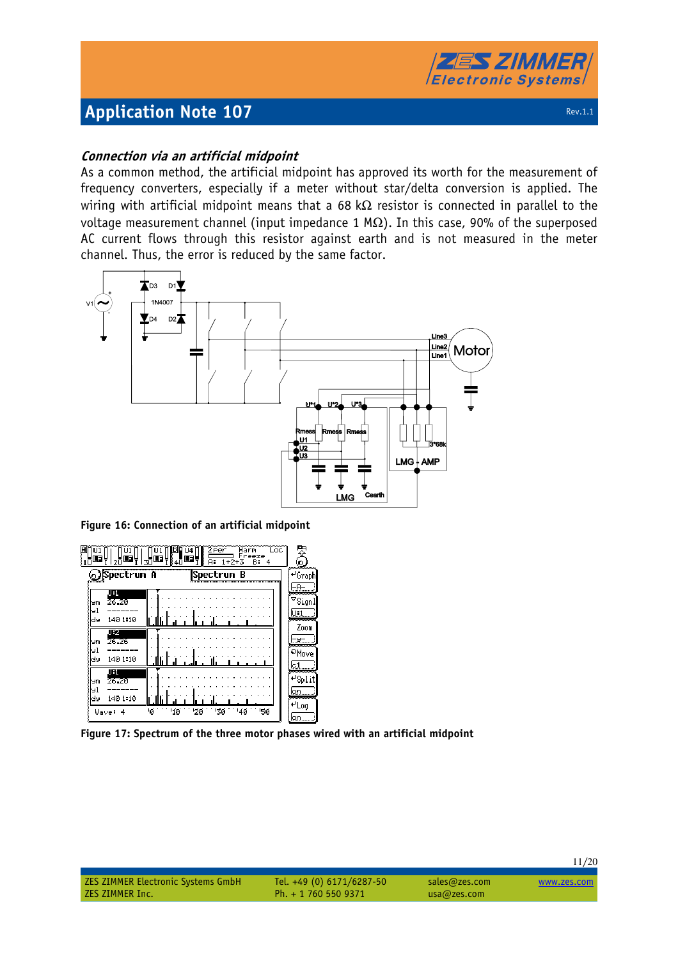

## **Connection via an artificial midpoint**

As a common method, the artificial midpoint has approved its worth for the measurement of frequency converters, especially if a meter without star/delta conversion is applied. The wiring with artificial midpoint means that a 68 k $\Omega$  resistor is connected in parallel to the voltage measurement channel (input impedance 1 MΩ). In this case, 90% of the superposed AC current flows through this resistor against earth and is not measured in the meter channel. Thus, the error is reduced by the same factor.



**Figure 16: Connection of an artificial midpoint** 

| <b>Spectrum</b> A    | <sub>∦4Ū</sub> ⊞∲<br> Spectrum B | o<br>$^{41}$ Graph  |
|----------------------|----------------------------------|---------------------|
|                      |                                  |                     |
| 朋<br>26.20<br>Уn     |                                  | $^\heartsuit$ Signl |
| чl<br>140 1:10<br>dy |                                  | U:1<br>Zoom         |
| IБZ<br>26.26<br>Уh   |                                  |                     |
| чl<br>dy<br>140 1:10 |                                  | ®Move<br>lc:1       |
| 朋<br>26.20<br>Уn     |                                  | ≁Split              |
| 91<br>140 1:10<br>dy |                                  | lon<br>≁ Log        |

**Figure 17: Spectrum of the three motor phases wired with an artificial midpoint**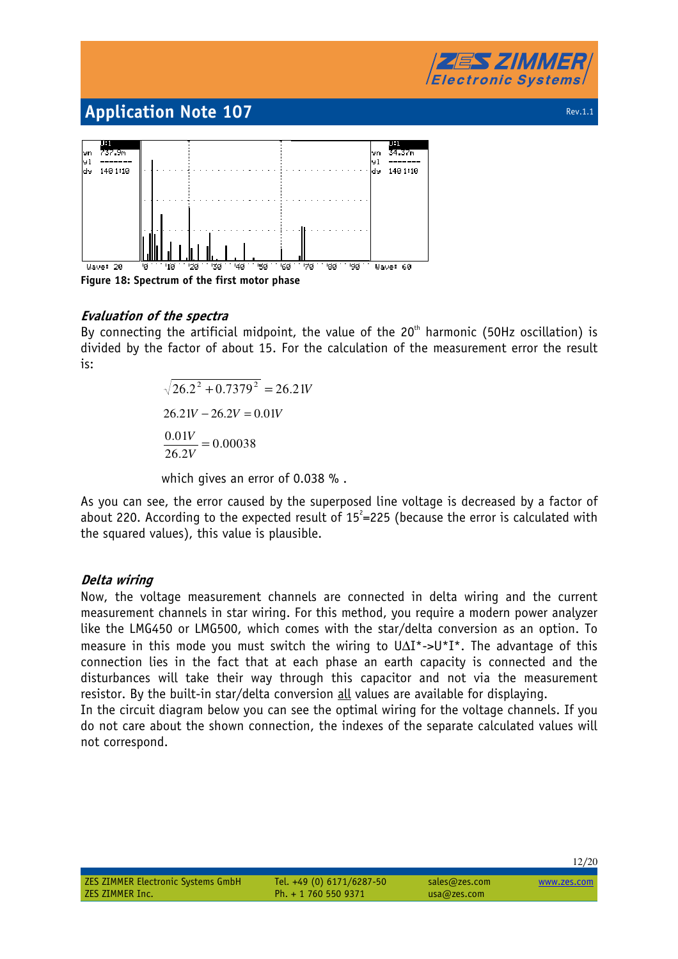



## **Evaluation of the spectra**

By connecting the artificial midpoint, the value of the  $20<sup>th</sup>$  harmonic (50Hz oscillation) is divided by the factor of about 15. For the calculation of the measurement error the result is:

 $\sqrt{26.2^2 + 0.7379^2} = 26.21V$  $26.21V - 26.2V = 0.01V$ 0.00038 26.2  $\frac{0.01V}{0.010} =$ *V V*

which gives an error of 0.038 % .

As you can see, the error caused by the superposed line voltage is decreased by a factor of about 220. According to the expected result of  $15^2$ =225 (because the error is calculated with the squared values), this value is plausible.

### **Delta wiring**

Now, the voltage measurement channels are connected in delta wiring and the current measurement channels in star wiring. For this method, you require a modern power analyzer like the LMG450 or LMG500, which comes with the star/delta conversion as an option. To measure in this mode you must switch the wiring to U∆I\*->U\*I\*. The advantage of this connection lies in the fact that at each phase an earth capacity is connected and the disturbances will take their way through this capacitor and not via the measurement resistor. By the built-in star/delta conversion all values are available for displaying.

In the circuit diagram below you can see the optimal wiring for the voltage channels. If you do not care about the shown connection, the indexes of the separate calculated values will not correspond.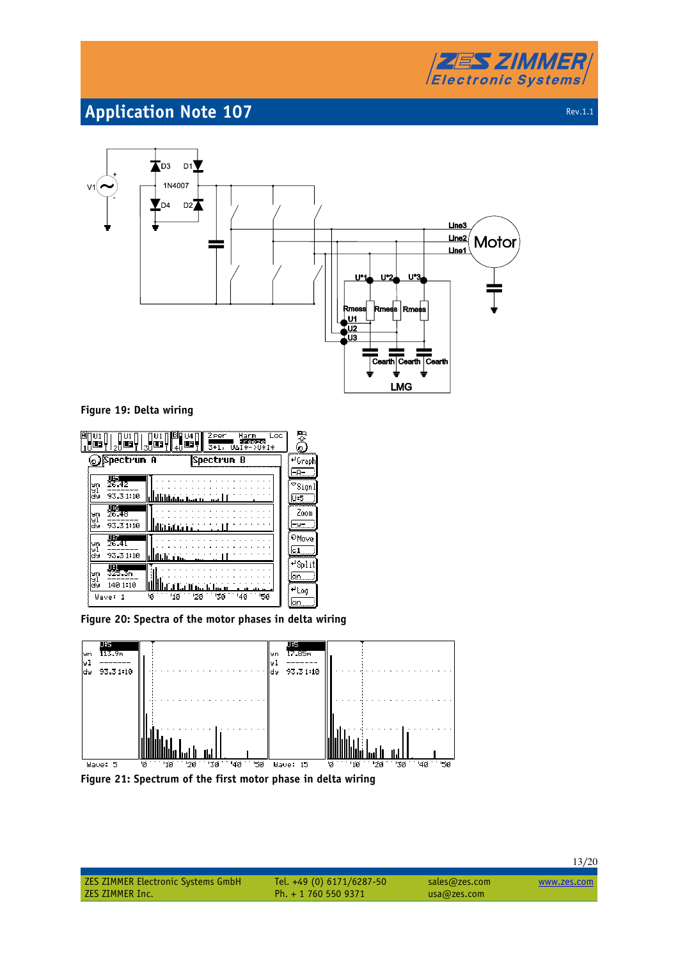



#### **Figure 19: Delta wiring**

| ΙA<br>ᇉ<br>-F                                        | 2 Per<br>Loc<br>Harm<br>114<br><b>Teeze</b><br>F<br>Œ<br>. ≸4U<br>Ū∆Ī∓−∑Ū¥I∗<br>$3 + 1,$<br>зū | 뜅<br>$\bullet$                                |
|------------------------------------------------------|------------------------------------------------------------------------------------------------|-----------------------------------------------|
| Spectrum A<br><u>لو</u>                              | Spectrum<br>- 8                                                                                | . <mark>≁</mark> Graph!                       |
| 咀<br>26.42<br>Уn<br>9Ì<br>āў<br>93.31.10             | سىمىل بىلىنا ئالتالتا                                                                          | -A-<br>$\mathbin{\triangledown}$ Signl<br>U:5 |
| 要<br>26.48<br>Уn<br>ăî<br>93.31:10                   | نشاشانالنا                                                                                     | wwwwww<br>Zoom<br>:⊌=                         |
| JB.<br>26.41<br>Уn<br>빏<br>93.31:10                  | فتخالطا                                                                                        | ®Move<br>lc.1                                 |
| UBL<br>325.3m<br>Уn<br>91<br>140 1:10<br>dy<br>Wave: | ستسليبات اللباء<br>'Ø<br>'4ø<br>∙2ø<br>'3ø<br>'5й<br>'10                                       | $^{\mu}$ Split<br>lon.<br>≁Log<br>ミlon        |

**Figure 20: Spectra of the motor phases in delta wiring** 



**Figure 21: Spectrum of the first motor phase in delta wiring** 

Ph. + 1 760 550 9371 usa@zes.com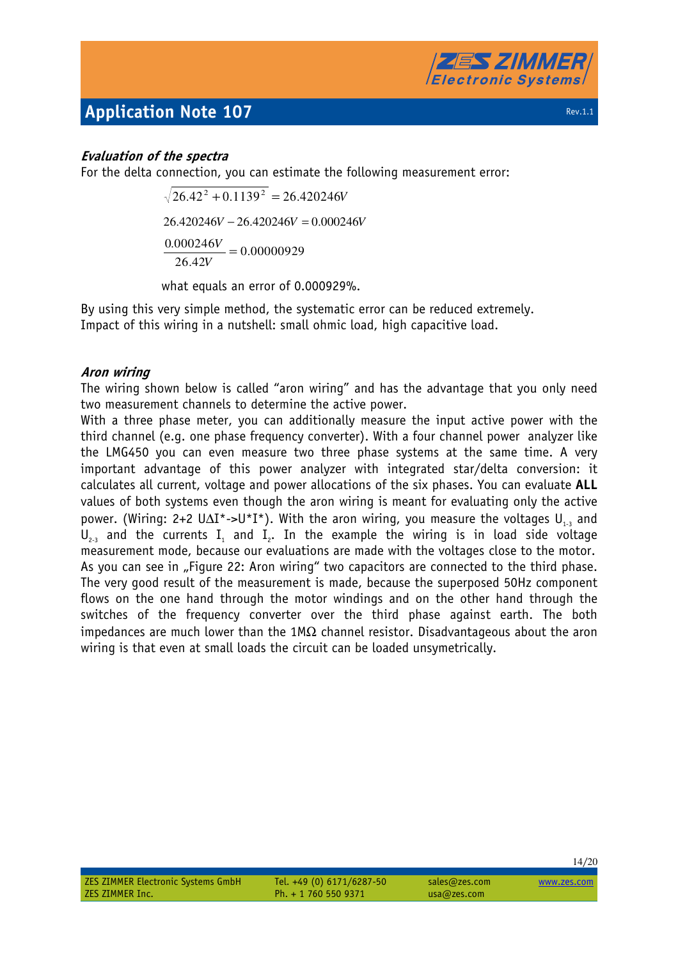

## **Evaluation of the spectra**

For the delta connection, you can estimate the following measurement error:

 $\sqrt{26.42^2 + 0.1139^2} = 26.420246V$  $26.420246V - 26.420246V = 0.000246V$ .0 00000929 26.42  $\frac{0.000246V}{\ }$  = *V V*

what equals an error of 0.000929%.

By using this very simple method, the systematic error can be reduced extremely. Impact of this wiring in a nutshell: small ohmic load, high capacitive load.

## **Aron wiring**

The wiring shown below is called "aron wiring" and has the advantage that you only need two measurement channels to determine the active power.

With a three phase meter, you can additionally measure the input active power with the third channel (e.g. one phase frequency converter). With a four channel power analyzer like the LMG450 you can even measure two three phase systems at the same time. A very important advantage of this power analyzer with integrated star/delta conversion: it calculates all current, voltage and power allocations of the six phases. You can evaluate **ALL** values of both systems even though the aron wiring is meant for evaluating only the active power. (Wiring: 2+2 U $\Delta I^*$ ->U<sup>\*</sup>I<sup>\*</sup>). With the aron wiring, you measure the voltages U<sub>13</sub> and  $U_{2,3}$  and the currents  $I_1$  and  $I_2$ . In the example the wiring is in load side voltage measurement mode, because our evaluations are made with the voltages close to the motor. As you can see in "Figure 22: Aron wiring" two capacitors are connected to the third phase. The very good result of the measurement is made, because the superposed 50Hz component flows on the one hand through the motor windings and on the other hand through the switches of the frequency converter over the third phase against earth. The both impedances are much lower than the 1M $\Omega$  channel resistor. Disadvantageous about the aron wiring is that even at small loads the circuit can be loaded unsymetrically.

ZES ZIMMER Inc. Ph. + 1 760 550 9371 usa@zes.com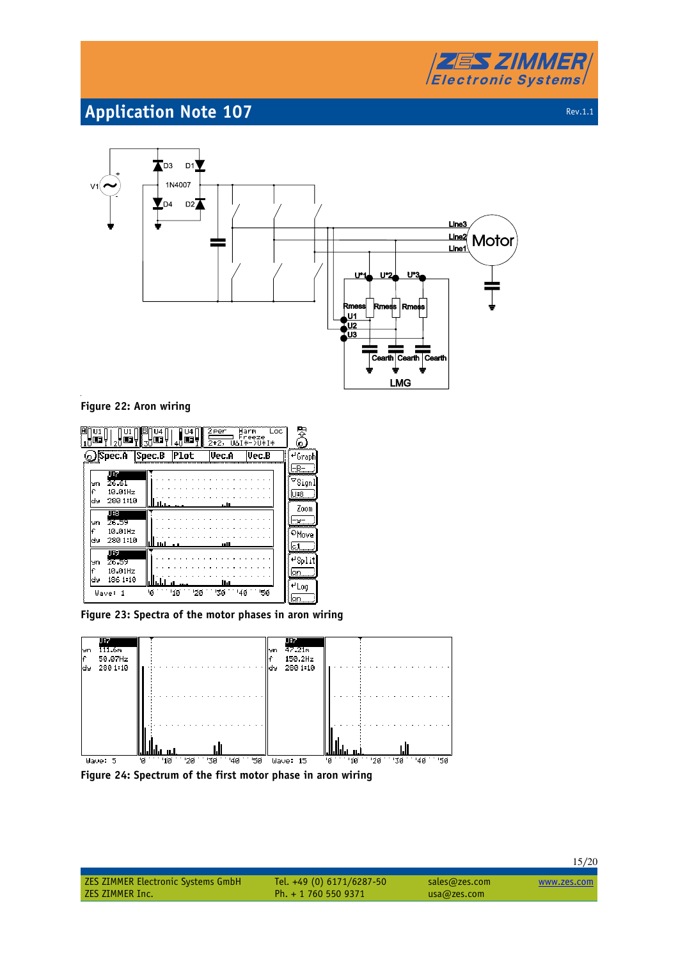



#### **Figure 22: Aron wiring**

|                                                       | U4<br>114<br>$\blacksquare$<br>Œ | 2 Per<br>2+2, | Loc<br>Harm<br>Freeze<br>I*->U*I* | 罗<br>o.                                     |
|-------------------------------------------------------|----------------------------------|---------------|-----------------------------------|---------------------------------------------|
| <b>Spec.A Spec.B Plot</b>                             |                                  | lUec.A        | Vec.B                             | ≁Graphi                                     |
| JB.<br>26.61<br>Уn<br>£<br>10.01Hz<br>280 1:10<br>d⊌  | 11.11.1.                         | LU.           |                                   | -B-<br>$\triangledown$ Signl<br>U:8<br>Zoom |
| 服<br>26.59<br>эn<br>١Ē<br>10.01Hz<br>280 1:10<br>d۶   | III II:I                         |               |                                   | -u-<br>®Move<br>lc 1                        |
| JF.I<br>26.59<br>эn<br>£<br>10.01Hz<br>186 1:10<br>dэ |                                  | llıl          |                                   | ⊬Split<br>lon<br>≁Log                       |
| Wave:                                                 | ١ø<br>'10<br>'2ø                 | ЗØ            | '4ø<br>'5й                        | ⊱lon                                        |

**Figure 23: Spectra of the motor phases in aron wiring** 



**Figure 24: Spectrum of the first motor phase in aron wiring** 

# ZES ZIMMER Electronic Systems GmbH Tel. +49 (0) 6171/6287-50 sales@zes.com www.zes.com<br>ZES ZIMMER Inc. Ph. + 1 760 550 9371 usa@zes.com

Ph. + 1 760 550 9371 usa@zes.com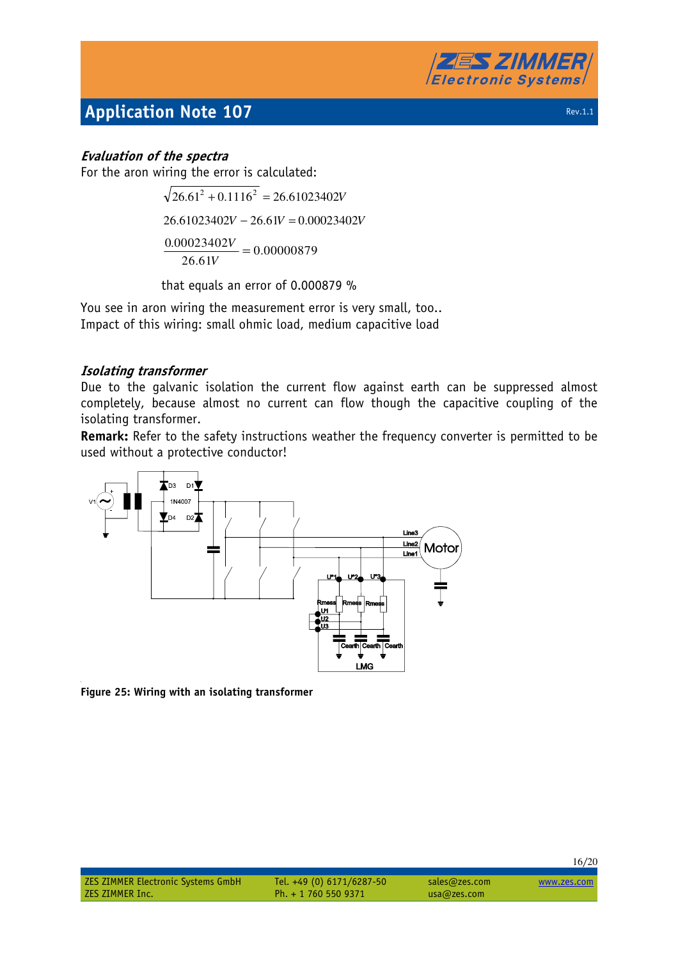

## **Evaluation of the spectra**

For the aron wiring the error is calculated:

 $\sqrt{26.61^2 + 0.1116^2} = 26.61023402V$  $26.61023402V - 26.61V = 0.00023402V$  $\frac{0.00023402V}{0.00000879} = 0.00000879$ 26.61V

that equals an error of 0.000879 %

You see in aron wiring the measurement error is very small, too.. Impact of this wiring: small ohmic load, medium capacitive load

## **Isolating transformer**

Due to the galvanic isolation the current flow against earth can be suppressed almost completely, because almost no current can flow though the capacitive coupling of the isolating transformer.

**Remark:** Refer to the safety instructions weather the frequency converter is permitted to be used without a protective conductor!



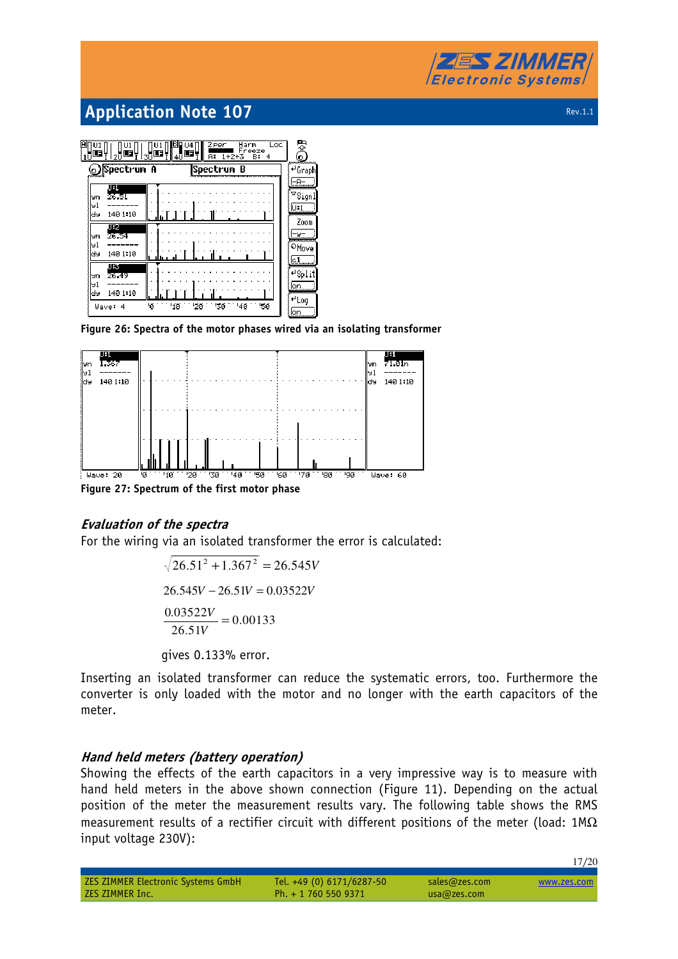

3  $\prod_{i=1}^{n}$ HU 11 <u>um</u> **Spectrum A** Spectrum B <del>⊌</del> Graph  $F + F$  $\overline{\phantom{a}}$ Signl l91  $\overline{0:1}$ lay. 140 1:10 Zoom -uчn 91 140 1:10 ldy চন 蓝  $\sqrt{4}$  Split чn l91 ldy. 140 1:10 <sup>+</sup> Log Wave: 4 'iø  $20$ 130 140

**Figure 26: Spectra of the motor phases wired via an isolating transformer** 



**Figure 27: Spectrum of the first motor phase** 

### **Evaluation of the spectra**

For the wiring via an isolated transformer the error is calculated:

 $\sqrt{26.51^2 + 1.367^2} = 26.545V$  $26.545V - 26.51V = 0.03522V$ 0.00133 26.51  $\frac{0.03522V}{0.03522}$  = *V V* gives 0.133% error.

Inserting an isolated transformer can reduce the systematic errors, too. Furthermore the converter is only loaded with the motor and no longer with the earth capacitors of the meter.

## **Hand held meters (battery operation)**

Showing the effects of the earth capacitors in a very impressive way is to measure with hand held meters in the above shown connection (Figure 11). Depending on the actual position of the meter the measurement results vary. The following table shows the RMS measurement results of a rectifier circuit with different positions of the meter (load:  $1M\Omega$ input voltage 230V):

|                                           |                           |               | 17/20       |
|-------------------------------------------|---------------------------|---------------|-------------|
| <b>ZES ZIMMER Electronic Systems GmbH</b> | Tel. +49 (0) 6171/6287-50 | sales@zes.com | www.zes.com |
| ZES ZIMMER Inc.                           | Ph. $+ 17605509371$       | usa@zes.com   |             |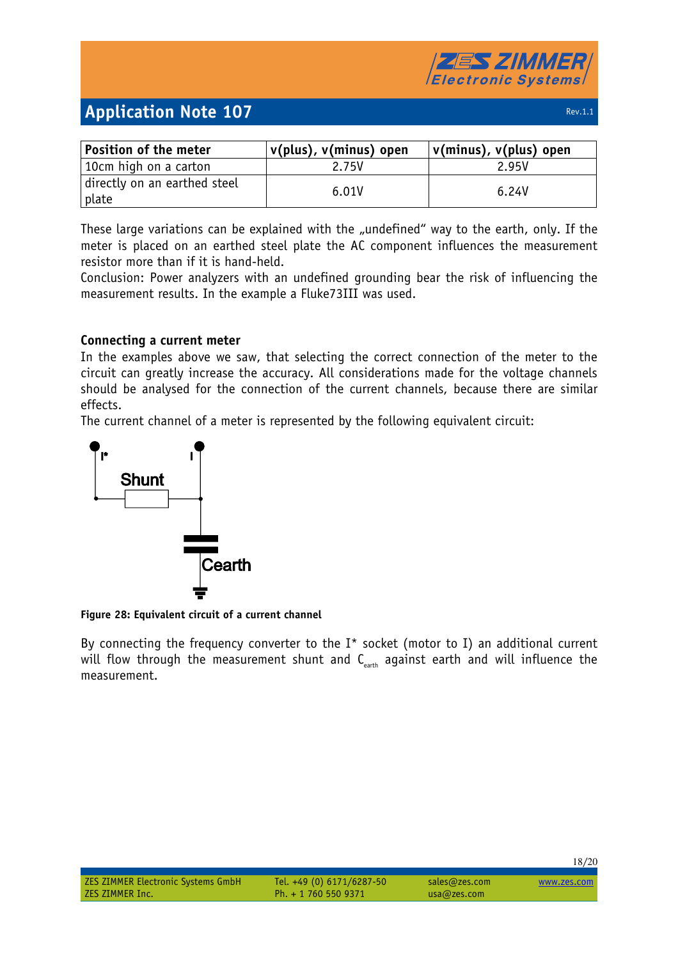| Position of the meter                 | v(plus), v(minus) open | v(minus), v(plus) open |
|---------------------------------------|------------------------|------------------------|
| 10cm high on a carton                 | 2.75V                  | 2.95V                  |
| directly on an earthed steel<br>plate | 6.01V                  | 6.24V                  |

These large variations can be explained with the "undefined" way to the earth, only. If the meter is placed on an earthed steel plate the AC component influences the measurement resistor more than if it is hand-held.

Conclusion: Power analyzers with an undefined grounding bear the risk of influencing the measurement results. In the example a Fluke73III was used.

### **Connecting a current meter**

In the examples above we saw, that selecting the correct connection of the meter to the circuit can greatly increase the accuracy. All considerations made for the voltage channels should be analysed for the connection of the current channels, because there are similar effects.

The current channel of a meter is represented by the following equivalent circuit:



**Figure 28: Equivalent circuit of a current channel** 

By connecting the frequency converter to the  $I^*$  socket (motor to I) an additional current will flow through the measurement shunt and  $C_{\text{earth}}$  against earth and will influence the measurement.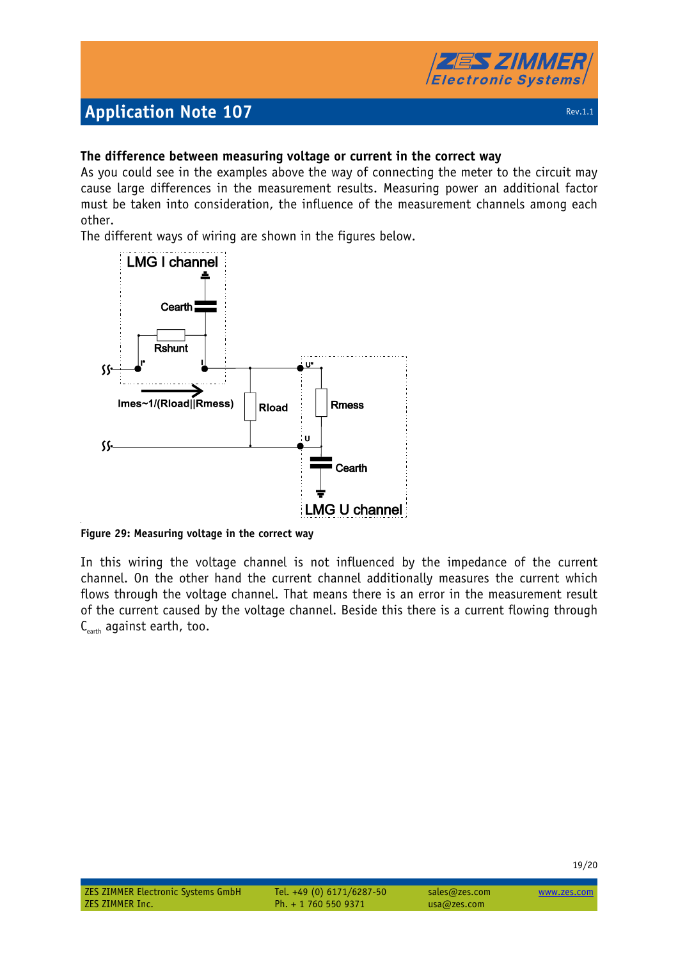# 5 *7 IMI* **Electronic Systems**

# **Application Note 107 Rev.1.1 Application Note 107**

19/20

## **The difference between measuring voltage or current in the correct way**

As you could see in the examples above the way of connecting the meter to the circuit may cause large differences in the measurement results. Measuring power an additional factor must be taken into consideration, the influence of the measurement channels among each other.

The different ways of wiring are shown in the figures below.



**Figure 29: Measuring voltage in the correct way** 

In this wiring the voltage channel is not influenced by the impedance of the current channel. On the other hand the current channel additionally measures the current which flows through the voltage channel. That means there is an error in the measurement result of the current caused by the voltage channel. Beside this there is a current flowing through  $C_{\text{earth}}$  against earth, too.

| <b>ZES ZIMMER Electronic Systems GmbH</b> | Tel. +49 (0) 6171/6287-50 | sales@zes.com | www.zes.com |
|-------------------------------------------|---------------------------|---------------|-------------|
| ZES ZIMMER Inc.                           | Ph. + 1 760 550 9371      | usa@zes.com   |             |